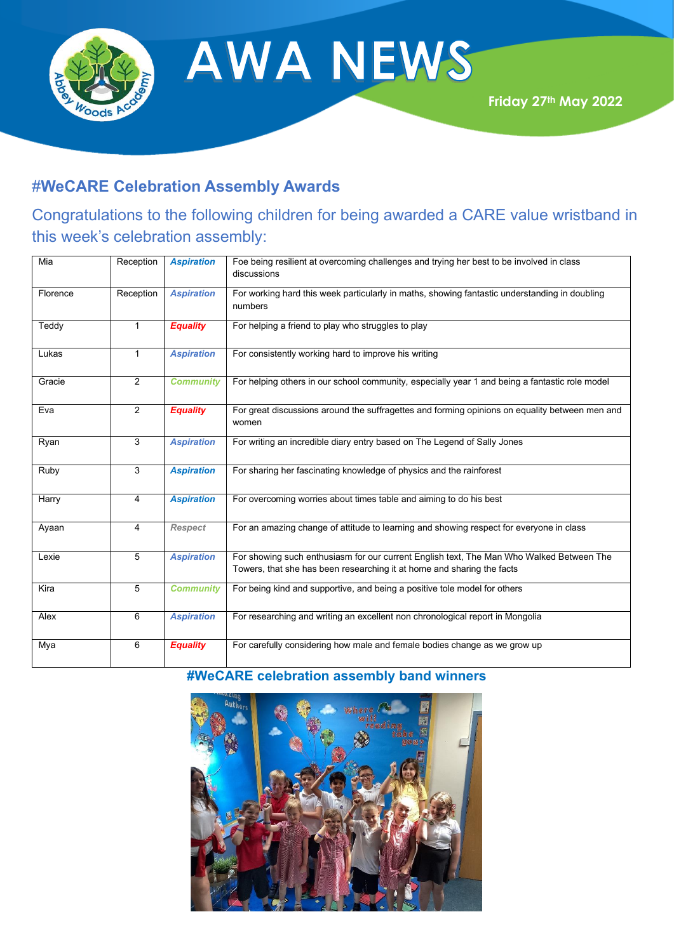

**AWA NEWS** 

## #**WeCARE Celebration Assembly Awards**

# Congratulations to the following children for being awarded a CARE value wristband in this week's celebration assembly:

| Mia      | Reception      | <b>Aspiration</b> | Foe being resilient at overcoming challenges and trying her best to be involved in class<br>discussions                                                            |
|----------|----------------|-------------------|--------------------------------------------------------------------------------------------------------------------------------------------------------------------|
| Florence | Reception      | <b>Aspiration</b> | For working hard this week particularly in maths, showing fantastic understanding in doubling<br>numbers                                                           |
| Teddy    | $\mathbf{1}$   | <b>Equality</b>   | For helping a friend to play who struggles to play                                                                                                                 |
| Lukas    | $\mathbf{1}$   | <b>Aspiration</b> | For consistently working hard to improve his writing                                                                                                               |
| Gracie   | $\overline{2}$ | <b>Community</b>  | For helping others in our school community, especially year 1 and being a fantastic role model                                                                     |
| Eva      | $\overline{2}$ | <b>Equality</b>   | For great discussions around the suffragettes and forming opinions on equality between men and<br>women                                                            |
| Ryan     | 3              | <b>Aspiration</b> | For writing an incredible diary entry based on The Legend of Sally Jones                                                                                           |
| Ruby     | 3              | <b>Aspiration</b> | For sharing her fascinating knowledge of physics and the rainforest                                                                                                |
| Harry    | 4              | <b>Aspiration</b> | For overcoming worries about times table and aiming to do his best                                                                                                 |
| Ayaan    | 4              | <b>Respect</b>    | For an amazing change of attitude to learning and showing respect for everyone in class                                                                            |
| Lexie    | 5              | <b>Aspiration</b> | For showing such enthusiasm for our current English text, The Man Who Walked Between The<br>Towers, that she has been researching it at home and sharing the facts |
| Kira     | 5              | <b>Community</b>  | For being kind and supportive, and being a positive tole model for others                                                                                          |
| Alex     | 6              | <b>Aspiration</b> | For researching and writing an excellent non chronological report in Mongolia                                                                                      |
| Mya      | 6              | <b>Equality</b>   | For carefully considering how male and female bodies change as we grow up                                                                                          |

### **#WeCARE celebration assembly band winners**

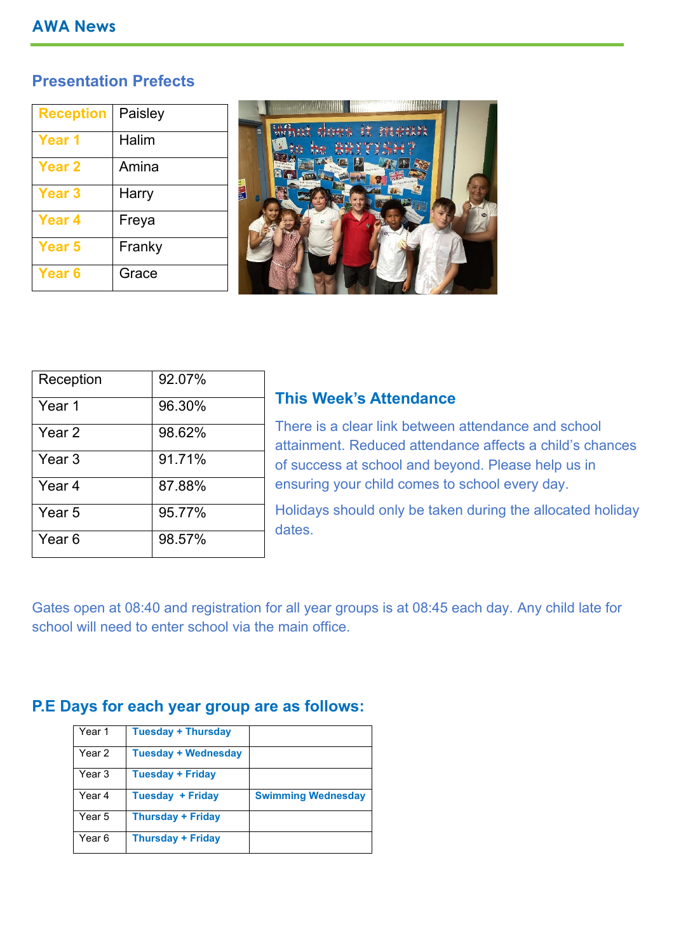#### **AWA News**

### **Presentation Prefects**

| <b>Reception</b> | Paisley |
|------------------|---------|
| Year 1           | Halim   |
| <b>Year 2</b>    | Amina   |
| <b>Year 3</b>    | Harry   |
| Year 4           | Freya   |
| Year 5           | Franky  |
| Year 6           | Grace   |



| Reception         | 92.07% |
|-------------------|--------|
| Year 1            | 96.30% |
| Year 2            | 98.62% |
| Year <sub>3</sub> | 91.71% |
| Year 4            | 87.88% |
| Year 5            | 95.77% |
| Year 6            | 98.57% |

#### **This Week's Attendance**

There is a clear link between attendance and school attainment. Reduced attendance affects a child's chances of success at school and beyond. Please help us in ensuring your child comes to school every day.

Holidays should only be taken during the allocated holiday dates.

Gates open at 08:40 and registration for all year groups is at 08:45 each day. Any child late for school will need to enter school via the main office.

## **P.E Days for each year group are as follows:**

| Year 1 | <b>Tuesday + Thursday</b>  |                           |
|--------|----------------------------|---------------------------|
| Year 2 | <b>Tuesday + Wednesday</b> |                           |
| Year 3 | <b>Tuesday + Friday</b>    |                           |
| Year 4 | <b>Tuesday + Friday</b>    | <b>Swimming Wednesday</b> |
| Year 5 | <b>Thursday + Friday</b>   |                           |
| Year 6 | <b>Thursday + Friday</b>   |                           |